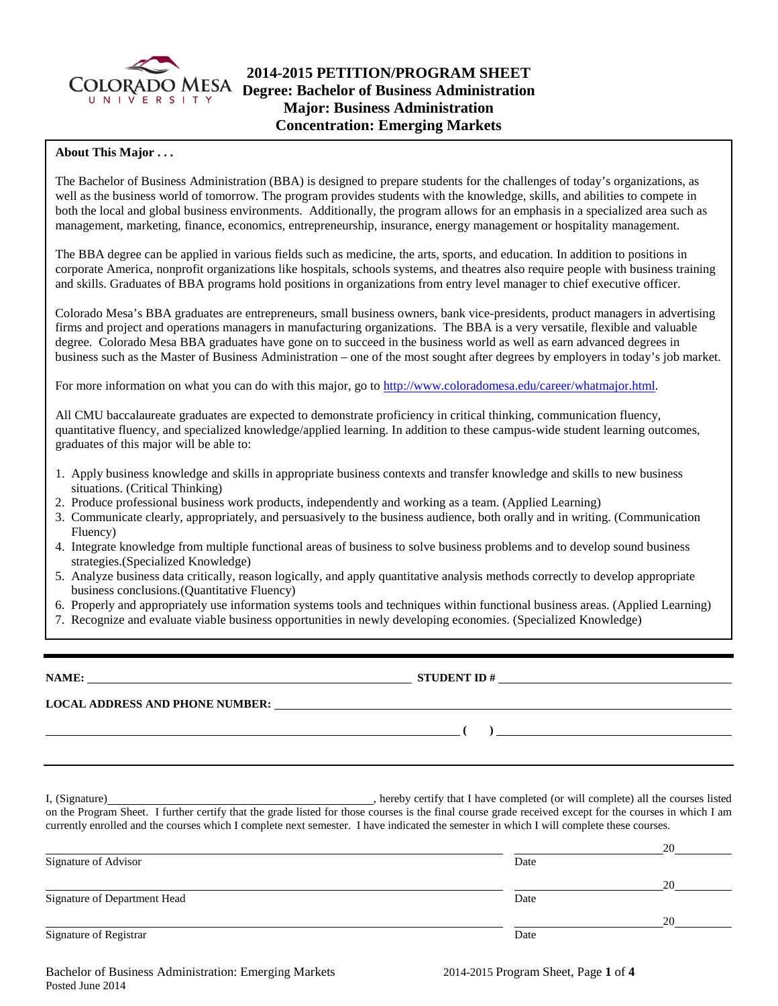

## **2014-2015 PETITION/PROGRAM SHEET Degree: Bachelor of Business Administration Major: Business Administration Concentration: Emerging Markets**

#### **About This Major . . .**

The Bachelor of Business Administration (BBA) is designed to prepare students for the challenges of today's organizations, as well as the business world of tomorrow. The program provides students with the knowledge, skills, and abilities to compete in both the local and global business environments. Additionally, the program allows for an emphasis in a specialized area such as management, marketing, finance, economics, entrepreneurship, insurance, energy management or hospitality management.

The BBA degree can be applied in various fields such as medicine, the arts, sports, and education. In addition to positions in corporate America, nonprofit organizations like hospitals, schools systems, and theatres also require people with business training and skills. Graduates of BBA programs hold positions in organizations from entry level manager to chief executive officer.

Colorado Mesa's BBA graduates are entrepreneurs, small business owners, bank vice-presidents, product managers in advertising firms and project and operations managers in manufacturing organizations. The BBA is a very versatile, flexible and valuable degree. Colorado Mesa BBA graduates have gone on to succeed in the business world as well as earn advanced degrees in business such as the Master of Business Administration – one of the most sought after degrees by employers in today's job market.

For more information on what you can do with this major, go to [http://www.coloradomesa.edu/career/whatmajor.html.](http://www.coloradomesa.edu/career/whatmajor.html)

All CMU baccalaureate graduates are expected to demonstrate proficiency in critical thinking, communication fluency, quantitative fluency, and specialized knowledge/applied learning. In addition to these campus-wide student learning outcomes, graduates of this major will be able to:

- 1. Apply business knowledge and skills in appropriate business contexts and transfer knowledge and skills to new business situations. (Critical Thinking)
- 2. Produce professional business work products, independently and working as a team. (Applied Learning)
- 3. Communicate clearly, appropriately, and persuasively to the business audience, both orally and in writing. (Communication Fluency)
- 4. Integrate knowledge from multiple functional areas of business to solve business problems and to develop sound business strategies.(Specialized Knowledge)
- 5. Analyze business data critically, reason logically, and apply quantitative analysis methods correctly to develop appropriate business conclusions.(Quantitative Fluency)
- 6. Properly and appropriately use information systems tools and techniques within functional business areas. (Applied Learning)
- 7. Recognize and evaluate viable business opportunities in newly developing economies. (Specialized Knowledge)

**NAME: STUDENT ID # LOCAL ADDRESS AND PHONE NUMBER: ( )** 

I, (Signature) **Manual Completed** (or will complete) all the courses listed on the Program Sheet. I further certify that the grade listed for those courses is the final course grade received except for the courses in which I am currently enrolled and the courses which I complete next semester. I have indicated the semester in which I will complete these courses.

|                              |      | 20 |
|------------------------------|------|----|
| Signature of Advisor         | Date |    |
|                              |      | 20 |
| Signature of Department Head | Date |    |
|                              |      | 20 |
| Signature of Registrar       | Date |    |

Bachelor of Business Administration: Emerging Markets 2014-2015 Program Sheet, Page **1** of **4** Posted June 2014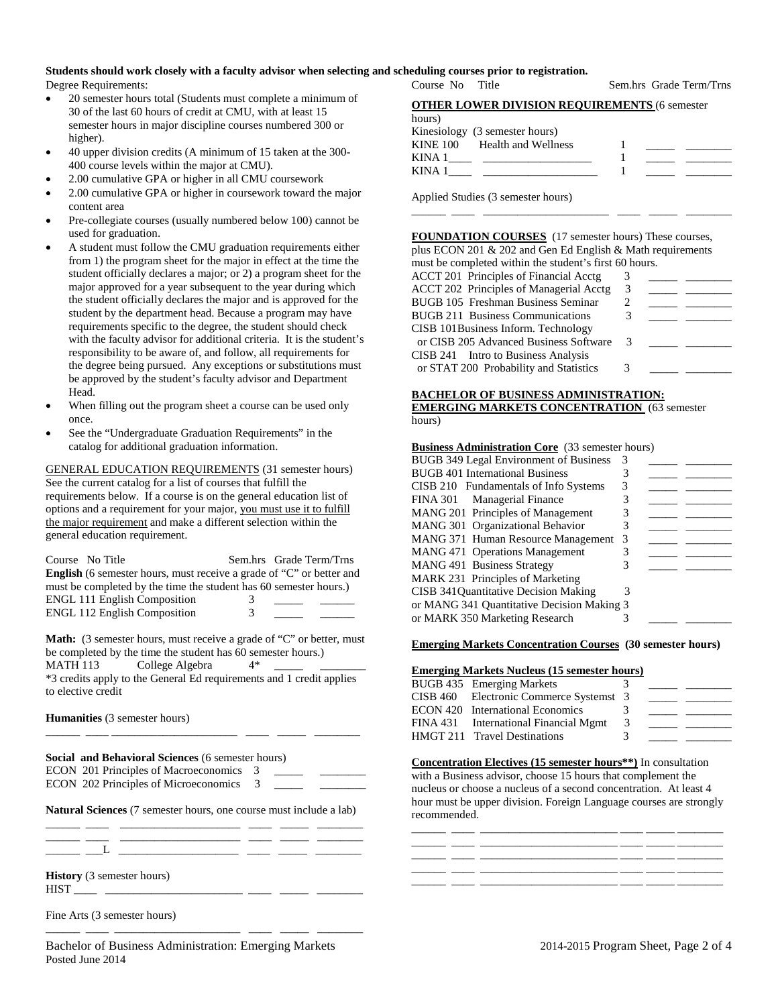## **Students should work closely with a faculty advisor when selecting and scheduling courses prior to registration.**

Degree Requirements:

- 20 semester hours total (Students must complete a minimum of 30 of the last 60 hours of credit at CMU, with at least 15 semester hours in major discipline courses numbered 300 or higher).
- 40 upper division credits (A minimum of 15 taken at the 300- 400 course levels within the major at CMU).
- 2.00 cumulative GPA or higher in all CMU coursework
- 2.00 cumulative GPA or higher in coursework toward the major content area
- Pre-collegiate courses (usually numbered below 100) cannot be used for graduation.
- A student must follow the CMU graduation requirements either from 1) the program sheet for the major in effect at the time the student officially declares a major; or 2) a program sheet for the major approved for a year subsequent to the year during which the student officially declares the major and is approved for the student by the department head. Because a program may have requirements specific to the degree, the student should check with the faculty advisor for additional criteria. It is the student's responsibility to be aware of, and follow, all requirements for the degree being pursued. Any exceptions or substitutions must be approved by the student's faculty advisor and Department Head.
- When filling out the program sheet a course can be used only once.
- See the "Undergraduate Graduation Requirements" in the catalog for additional graduation information.

GENERAL EDUCATION REQUIREMENTS (31 semester hours) See the current catalog for a list of courses that fulfill the requirements below. If a course is on the general education list of options and a requirement for your major, you must use it to fulfill the major requirement and make a different selection within the general education requirement.

| Course No Title                                                             |   | Sem.hrs Grade Term/Trns |  |
|-----------------------------------------------------------------------------|---|-------------------------|--|
| <b>English</b> (6 semester hours, must receive a grade of "C" or better and |   |                         |  |
| must be completed by the time the student has 60 semester hours.)           |   |                         |  |
| <b>ENGL 111 English Composition</b>                                         | 3 |                         |  |
| <b>ENGL 112 English Composition</b>                                         | 3 |                         |  |

**Math:** (3 semester hours, must receive a grade of "C" or better, must be completed by the time the student has 60 semester hours.)<br>MATH 113 College Algebra  $4*$ College Algebra

\*3 credits apply to the General Ed requirements and 1 credit applies to elective credit

\_\_\_\_\_\_ \_\_\_\_ \_\_\_\_\_\_\_\_\_\_\_\_\_\_\_\_\_\_\_\_\_\_ \_\_\_\_ \_\_\_\_\_ \_\_\_\_\_\_\_\_

**Humanities** (3 semester hours)

| <b>Social and Behavioral Sciences (6 semester hours)</b>                  |  |  |  |  |  |  |
|---------------------------------------------------------------------------|--|--|--|--|--|--|
| ECON 201 Principles of Macroeconomics 3                                   |  |  |  |  |  |  |
| ECON 202 Principles of Microeconomics 3                                   |  |  |  |  |  |  |
| <b>Natural Sciences</b> (7 semester hours, one course must include a lab) |  |  |  |  |  |  |

\_\_\_\_\_\_ \_\_\_\_ \_\_\_\_\_\_\_\_\_\_\_\_\_\_\_\_\_\_\_\_\_ \_\_\_\_ \_\_\_\_\_ \_\_\_\_\_\_\_\_

 $\_\_$ 

**History** (3 semester hours) HIST \_\_\_\_ \_\_\_\_\_\_\_\_\_\_\_\_\_\_\_\_\_\_\_\_\_\_\_\_ \_\_\_\_ \_\_\_\_\_ \_\_\_\_\_\_\_\_

Fine Arts (3 semester hours)

\_\_\_\_\_\_ \_\_\_\_ \_\_\_\_\_\_\_\_\_\_\_\_\_\_\_\_\_\_\_\_\_\_ \_\_\_\_ \_\_\_\_\_ \_\_\_\_\_\_\_\_

Course No Title Sem.hrs Grade Term/Trns

| <b>OTHER LOWER DIVISION REQUIREMENTS (6 semester</b> |  |  |
|------------------------------------------------------|--|--|
|                                                      |  |  |

| hours) |  |  |
|--------|--|--|
|        |  |  |

|          | Kinesiology (3 semester hours) |  |  |
|----------|--------------------------------|--|--|
| KINE 100 | Health and Wellness            |  |  |
| KINA 1   |                                |  |  |
| KINA 1   |                                |  |  |
|          |                                |  |  |

\_\_\_\_\_\_ \_\_\_\_ \_\_\_\_\_\_\_\_\_\_\_\_\_\_\_\_\_\_\_\_\_\_ \_\_\_\_ \_\_\_\_\_ \_\_\_\_\_\_\_\_

Applied Studies (3 semester hours)

**FOUNDATION COURSES** (17 semester hours) These courses, plus ECON 201 & 202 and Gen Ed English & Math requirements must be completed within the student's first 60 hours.

| mast be compreted within the stadent s mot ob hours. |                             |  |
|------------------------------------------------------|-----------------------------|--|
| ACCT 201 Principles of Financial Acctg               |                             |  |
| <b>ACCT 202 Principles of Managerial Acctg</b>       | -3                          |  |
| BUGB 105 Freshman Business Seminar                   | $\mathcal{D}_{\mathcal{L}}$ |  |
| <b>BUGB 211 Business Communications</b>              | 3                           |  |
| CISB 101Business Inform. Technology                  |                             |  |
| or CISB 205 Advanced Business Software               | 3                           |  |
| CISB 241 Intro to Business Analysis                  |                             |  |
| or STAT 200 Probability and Statistics               | 3                           |  |
|                                                      |                             |  |

#### **BACHELOR OF BUSINESS ADMINISTRATION: EMERGING MARKETS CONCENTRATION** (63 semester hours)

#### **Business Administration Core** (33 semester hours)

| BUGB 349 Legal Environment of Business     | 3  |  |
|--------------------------------------------|----|--|
| <b>BUGB</b> 401 International Business     |    |  |
| CISB 210 Fundamentals of Info Systems      |    |  |
| FINA 301 Managerial Finance                |    |  |
| MANG 201 Principles of Management          | 3  |  |
| MANG 301 Organizational Behavior           |    |  |
| MANG 371 Human Resource Management         | -3 |  |
| <b>MANG 471 Operations Management</b>      |    |  |
| MANG 491 Business Strategy                 |    |  |
| MARK 231 Principles of Marketing           |    |  |
| CISB 341 Quantitative Decision Making      | 3  |  |
| or MANG 341 Quantitative Decision Making 3 |    |  |
| or MARK 350 Marketing Research             |    |  |

#### **Emerging Markets Concentration Courses (30 semester hours)**

### **Emerging Markets Nucleus (15 semester hours)**

| BUGB 435 Emerging Markets               | $\Delta$ |  |
|-----------------------------------------|----------|--|
| CISB 460 Electronic Commerce Systemst 3 |          |  |
| <b>ECON 420</b> International Economics | -3       |  |
| FINA 431 International Financial Mgmt   | -3       |  |
| HMGT 211 Travel Destinations            | 3        |  |

### **Concentration Electives (15 semester hours\*\*)** In consultation

with a Business advisor, choose 15 hours that complement the nucleus or choose a nucleus of a second concentration. At least 4 hour must be upper division. Foreign Language courses are strongly recommended.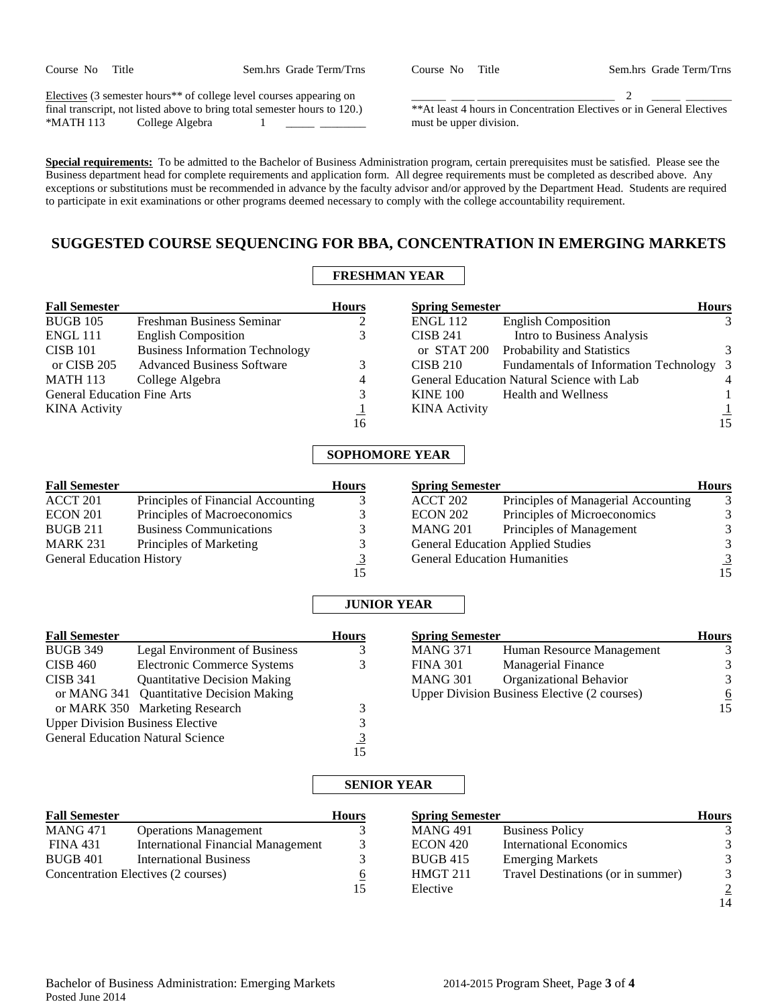| Course No | Title |
|-----------|-------|
|-----------|-------|

Sem.hrs Grade Term/Trns

Electives (3 semester hours\*\* of college level courses appearing on final transcript, not listed above to bring total semester hours to 120.)<br>\*MATH 113 College Algebra 1 College Algebra 1

\_\_\_\_\_\_ \_\_\_\_ \_\_\_\_\_\_\_\_\_\_\_\_\_\_\_\_\_\_\_\_\_\_\_\_ 2 \_\_\_\_\_ \_\_\_\_\_\_\_\_ \*\*At least 4 hours in Concentration Electives or in General Electives must be upper division.

**Special requirements:** To be admitted to the Bachelor of Business Administration program, certain prerequisites must be satisfied. Please see the Business department head for complete requirements and application form. All degree requirements must be completed as described above. Any exceptions or substitutions must be recommended in advance by the faculty advisor and/or approved by the Department Head. Students are required to participate in exit examinations or other programs deemed necessary to comply with the college accountability requirement.

## **SUGGESTED COURSE SEQUENCING FOR BBA, CONCENTRATION IN EMERGING MARKETS**

# **FRESHMAN YEAR**

| <b>Fall Semester</b>               |                                        | <b>Hours</b> | <b>Spring Semester</b> |                                            | <b>Hours</b>   |
|------------------------------------|----------------------------------------|--------------|------------------------|--------------------------------------------|----------------|
| <b>BUGB 105</b>                    | Freshman Business Seminar              |              | <b>ENGL 112</b>        | <b>English Composition</b>                 |                |
| <b>ENGL 111</b>                    | <b>English Composition</b>             | 3            | <b>CISB 241</b>        | Intro to Business Analysis                 |                |
| <b>CISB 101</b>                    | <b>Business Information Technology</b> |              |                        | or STAT 200 Probability and Statistics     | 3              |
| or CISB 205                        | <b>Advanced Business Software</b>      |              | <b>CISB 210</b>        | Fundamentals of Information Technology 3   |                |
| <b>MATH 113</b>                    | College Algebra                        | 4            |                        | General Education Natural Science with Lab | $\overline{4}$ |
| <b>General Education Fine Arts</b> |                                        | 3            | <b>KINE 100</b>        | <b>Health and Wellness</b>                 |                |
| <b>KINA</b> Activity               |                                        |              | <b>KINA</b> Activity   |                                            |                |
|                                    |                                        | 16           |                        |                                            | 15             |

## **SOPHOMORE YEAR**

| <b>Fall Semester</b>             |                                    | <b>Hours</b> | <b>Spring Semester</b> |                                          | <b>Hours</b>  |
|----------------------------------|------------------------------------|--------------|------------------------|------------------------------------------|---------------|
| ACCT 201                         | Principles of Financial Accounting |              | ACCT 202               | Principles of Managerial Accounting      |               |
| <b>ECON 201</b>                  | Principles of Macroeconomics       |              | <b>ECON 202</b>        | Principles of Microeconomics             | $\mathcal{R}$ |
| <b>BUGB 211</b>                  | <b>Business Communications</b>     |              | MANG 201               | Principles of Management                 |               |
| <b>MARK 231</b>                  | Principles of Marketing            |              |                        | <b>General Education Applied Studies</b> |               |
| <b>General Education History</b> |                                    |              |                        | <b>General Education Humanities</b>      |               |
|                                  |                                    |              |                        |                                          | 15            |

## **JUNIOR YEAR**

| <b>Fall Semester</b>                     |                                     | <b>Hours</b> | <b>Spring Semester</b>                              |                           | <b>Hours</b> |
|------------------------------------------|-------------------------------------|--------------|-----------------------------------------------------|---------------------------|--------------|
| <b>BUGB 349</b>                          | Legal Environment of Business       |              | <b>MANG 371</b>                                     | Human Resource Management |              |
| CISB 460                                 | Electronic Commerce Systems         |              | <b>FINA 301</b>                                     | <b>Managerial Finance</b> | 3            |
| <b>CISB 341</b>                          | <b>Quantitative Decision Making</b> |              | <b>MANG 301</b>                                     | Organizational Behavior   | 3            |
| or MANG 341 Quantitative Decision Making |                                     |              | <b>Upper Division Business Elective (2 courses)</b> |                           | <u>6</u>     |
|                                          | or MARK 350 Marketing Research      |              |                                                     |                           | 15           |
| <b>Upper Division Business Elective</b>  |                                     |              |                                                     |                           |              |
| <b>General Education Natural Science</b> |                                     |              |                                                     |                           |              |
|                                          |                                     | 15           |                                                     |                           |              |

## **SENIOR YEAR**

| <b>Fall Semester</b>                |                                           | <b>Hours</b> | <b>Spring Semester</b> |                                    | <b>Hours</b>   |
|-------------------------------------|-------------------------------------------|--------------|------------------------|------------------------------------|----------------|
| <b>MANG 471</b>                     | <b>Operations Management</b>              |              | <b>MANG 491</b>        | <b>Business Policy</b>             |                |
| FINA 431                            | <b>International Financial Management</b> |              | ECON 420               | <b>International Economics</b>     | 3              |
| <b>BUGB 401</b>                     | <b>International Business</b>             |              | <b>BUGB 415</b>        | <b>Emerging Markets</b>            |                |
| Concentration Electives (2 courses) |                                           | <u>o</u>     | HMGT 211               | Travel Destinations (or in summer) | 3              |
|                                     |                                           | 15           | Elective               |                                    | $\overline{2}$ |
|                                     |                                           |              |                        |                                    | 14             |